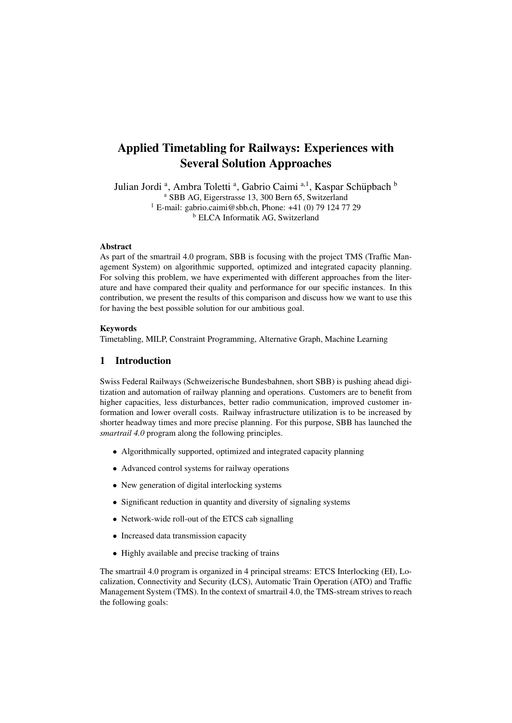# Applied Timetabling for Railways: Experiences with Several Solution Approaches

Julian Jordi<sup>a</sup>, Ambra Toletti<sup>a</sup>, Gabrio Caimi<sup>a, 1</sup>, Kaspar Schüpbach<sup>b</sup> <sup>a</sup> SBB AG, Eigerstrasse 13, 300 Bern 65, Switzerland <sup>1</sup> E-mail: gabrio.caimi@sbb.ch, Phone:  $+41$  (0) 79 124 77 29 <sup>b</sup> ELCA Informatik AG, Switzerland

# Abstract

As part of the smartrail 4.0 program, SBB is focusing with the project TMS (Traffic Management System) on algorithmic supported, optimized and integrated capacity planning. For solving this problem, we have experimented with different approaches from the literature and have compared their quality and performance for our specific instances. In this contribution, we present the results of this comparison and discuss how we want to use this for having the best possible solution for our ambitious goal.

# Keywords

Timetabling, MILP, Constraint Programming, Alternative Graph, Machine Learning

# 1 Introduction

Swiss Federal Railways (Schweizerische Bundesbahnen, short SBB) is pushing ahead digitization and automation of railway planning and operations. Customers are to benefit from higher capacities, less disturbances, better radio communication, improved customer information and lower overall costs. Railway infrastructure utilization is to be increased by shorter headway times and more precise planning. For this purpose, SBB has launched the *smartrail 4.0* program along the following principles.

- Algorithmically supported, optimized and integrated capacity planning
- Advanced control systems for railway operations
- New generation of digital interlocking systems
- Significant reduction in quantity and diversity of signaling systems
- Network-wide roll-out of the ETCS cab signalling
- Increased data transmission capacity
- Highly available and precise tracking of trains

The smartrail 4.0 program is organized in 4 principal streams: ETCS Interlocking (EI), Localization, Connectivity and Security (LCS), Automatic Train Operation (ATO) and Traffic Management System (TMS). In the context of smartrail 4.0, the TMS-stream strives to reach the following goals: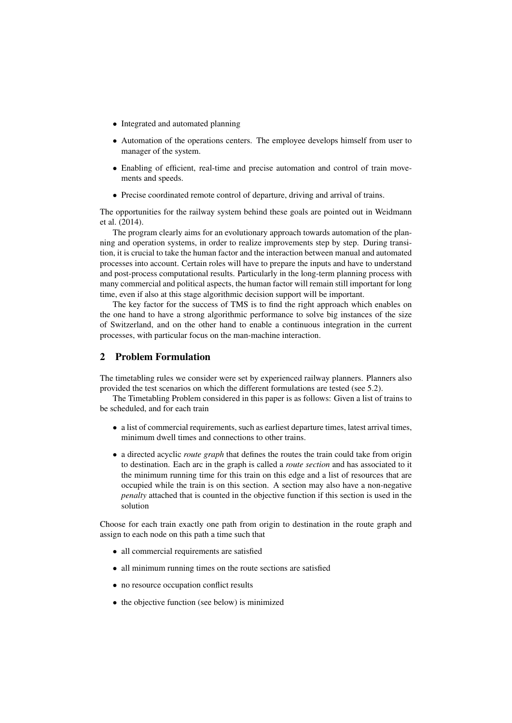- Integrated and automated planning
- Automation of the operations centers. The employee develops himself from user to manager of the system.
- Enabling of efficient, real-time and precise automation and control of train movements and speeds.
- Precise coordinated remote control of departure, driving and arrival of trains.

The opportunities for the railway system behind these goals are pointed out in Weidmann et al. (2014).

The program clearly aims for an evolutionary approach towards automation of the planning and operation systems, in order to realize improvements step by step. During transition, it is crucial to take the human factor and the interaction between manual and automated processes into account. Certain roles will have to prepare the inputs and have to understand and post-process computational results. Particularly in the long-term planning process with many commercial and political aspects, the human factor will remain still important for long time, even if also at this stage algorithmic decision support will be important.

The key factor for the success of TMS is to find the right approach which enables on the one hand to have a strong algorithmic performance to solve big instances of the size of Switzerland, and on the other hand to enable a continuous integration in the current processes, with particular focus on the man-machine interaction.

# 2 Problem Formulation

The timetabling rules we consider were set by experienced railway planners. Planners also provided the test scenarios on which the different formulations are tested (see 5.2).

The Timetabling Problem considered in this paper is as follows: Given a list of trains to be scheduled, and for each train

- a list of commercial requirements, such as earliest departure times, latest arrival times, minimum dwell times and connections to other trains.
- a directed acyclic *route graph* that defines the routes the train could take from origin to destination. Each arc in the graph is called a *route section* and has associated to it the minimum running time for this train on this edge and a list of resources that are occupied while the train is on this section. A section may also have a non-negative *penalty* attached that is counted in the objective function if this section is used in the solution

Choose for each train exactly one path from origin to destination in the route graph and assign to each node on this path a time such that

- all commercial requirements are satisfied
- all minimum running times on the route sections are satisfied
- no resource occupation conflict results
- the objective function (see below) is minimized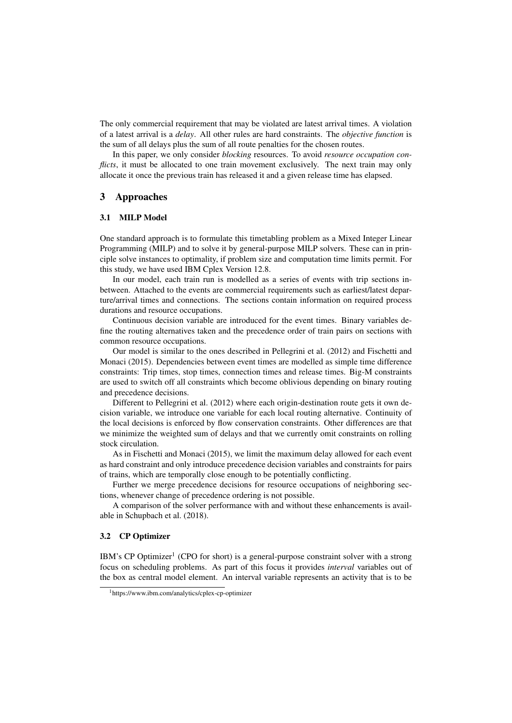The only commercial requirement that may be violated are latest arrival times. A violation of a latest arrival is a *delay*. All other rules are hard constraints. The *objective function* is the sum of all delays plus the sum of all route penalties for the chosen routes.

In this paper, we only consider *blocking* resources. To avoid *resource occupation conflicts*, it must be allocated to one train movement exclusively. The next train may only allocate it once the previous train has released it and a given release time has elapsed.

# 3 Approaches

### 3.1 MILP Model

One standard approach is to formulate this timetabling problem as a Mixed Integer Linear Programming (MILP) and to solve it by general-purpose MILP solvers. These can in principle solve instances to optimality, if problem size and computation time limits permit. For this study, we have used IBM Cplex Version 12.8.

In our model, each train run is modelled as a series of events with trip sections inbetween. Attached to the events are commercial requirements such as earliest/latest departure/arrival times and connections. The sections contain information on required process durations and resource occupations.

Continuous decision variable are introduced for the event times. Binary variables define the routing alternatives taken and the precedence order of train pairs on sections with common resource occupations.

Our model is similar to the ones described in Pellegrini et al. (2012) and Fischetti and Monaci (2015). Dependencies between event times are modelled as simple time difference constraints: Trip times, stop times, connection times and release times. Big-M constraints are used to switch off all constraints which become oblivious depending on binary routing and precedence decisions.

Different to Pellegrini et al. (2012) where each origin-destination route gets it own decision variable, we introduce one variable for each local routing alternative. Continuity of the local decisions is enforced by flow conservation constraints. Other differences are that we minimize the weighted sum of delays and that we currently omit constraints on rolling stock circulation.

As in Fischetti and Monaci (2015), we limit the maximum delay allowed for each event as hard constraint and only introduce precedence decision variables and constraints for pairs of trains, which are temporally close enough to be potentially conflicting.

Further we merge precedence decisions for resource occupations of neighboring sections, whenever change of precedence ordering is not possible.

A comparison of the solver performance with and without these enhancements is available in Schupbach et al. (2018).

### 3.2 CP Optimizer

IBM's CP Optimizer<sup>1</sup> (CPO for short) is a general-purpose constraint solver with a strong focus on scheduling problems. As part of this focus it provides *interval* variables out of the box as central model element. An interval variable represents an activity that is to be

<sup>1</sup>https://www.ibm.com/analytics/cplex-cp-optimizer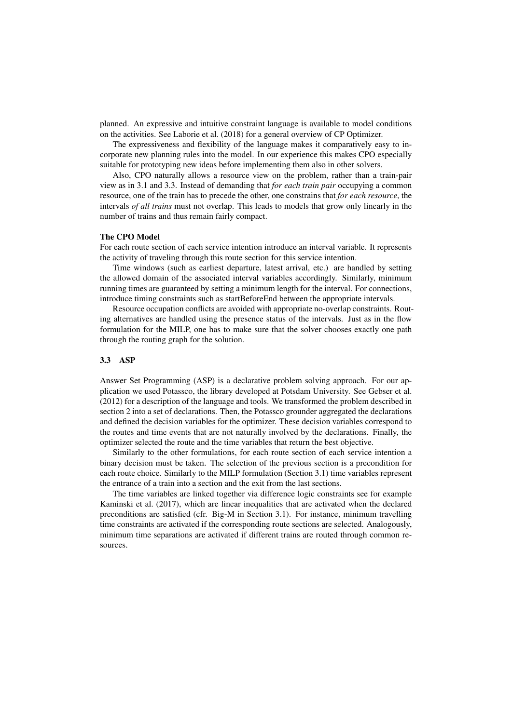planned. An expressive and intuitive constraint language is available to model conditions on the activities. See Laborie et al. (2018) for a general overview of CP Optimizer.

The expressiveness and flexibility of the language makes it comparatively easy to incorporate new planning rules into the model. In our experience this makes CPO especially suitable for prototyping new ideas before implementing them also in other solvers.

Also, CPO naturally allows a resource view on the problem, rather than a train-pair view as in 3.1 and 3.3. Instead of demanding that *for each train pair* occupying a common resource, one of the train has to precede the other, one constrains that *for each resource*, the intervals *of all trains* must not overlap. This leads to models that grow only linearly in the number of trains and thus remain fairly compact.

#### The CPO Model

For each route section of each service intention introduce an interval variable. It represents the activity of traveling through this route section for this service intention.

Time windows (such as earliest departure, latest arrival, etc.) are handled by setting the allowed domain of the associated interval variables accordingly. Similarly, minimum running times are guaranteed by setting a minimum length for the interval. For connections, introduce timing constraints such as startBeforeEnd between the appropriate intervals.

Resource occupation conflicts are avoided with appropriate no-overlap constraints. Routing alternatives are handled using the presence status of the intervals. Just as in the flow formulation for the MILP, one has to make sure that the solver chooses exactly one path through the routing graph for the solution.

### 3.3 ASP

Answer Set Programming (ASP) is a declarative problem solving approach. For our application we used Potassco, the library developed at Potsdam University. See Gebser et al. (2012) for a description of the language and tools. We transformed the problem described in section 2 into a set of declarations. Then, the Potassco grounder aggregated the declarations and defined the decision variables for the optimizer. These decision variables correspond to the routes and time events that are not naturally involved by the declarations. Finally, the optimizer selected the route and the time variables that return the best objective.

Similarly to the other formulations, for each route section of each service intention a binary decision must be taken. The selection of the previous section is a precondition for each route choice. Similarly to the MILP formulation (Section 3.1) time variables represent the entrance of a train into a section and the exit from the last sections.

The time variables are linked together via difference logic constraints see for example Kaminski et al. (2017), which are linear inequalities that are activated when the declared preconditions are satisfied (cfr. Big-M in Section 3.1). For instance, minimum travelling time constraints are activated if the corresponding route sections are selected. Analogously, minimum time separations are activated if different trains are routed through common resources.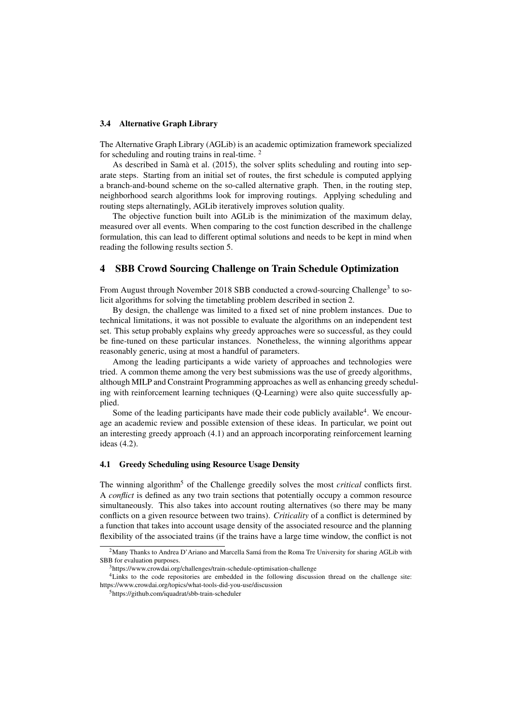#### 3.4 Alternative Graph Library

The Alternative Graph Library (AGLib) is an academic optimization framework specialized for scheduling and routing trains in real-time. <sup>2</sup>

As described in Samà et al. (2015), the solver splits scheduling and routing into separate steps. Starting from an initial set of routes, the first schedule is computed applying a branch-and-bound scheme on the so-called alternative graph. Then, in the routing step, neighborhood search algorithms look for improving routings. Applying scheduling and routing steps alternatingly, AGLib iteratively improves solution quality.

The objective function built into AGLib is the minimization of the maximum delay, measured over all events. When comparing to the cost function described in the challenge formulation, this can lead to different optimal solutions and needs to be kept in mind when reading the following results section 5.

# 4 SBB Crowd Sourcing Challenge on Train Schedule Optimization

From August through November 2018 SBB conducted a crowd-sourcing Challenge<sup>3</sup> to solicit algorithms for solving the timetabling problem described in section 2.

By design, the challenge was limited to a fixed set of nine problem instances. Due to technical limitations, it was not possible to evaluate the algorithms on an independent test set. This setup probably explains why greedy approaches were so successful, as they could be fine-tuned on these particular instances. Nonetheless, the winning algorithms appear reasonably generic, using at most a handful of parameters.

Among the leading participants a wide variety of approaches and technologies were tried. A common theme among the very best submissions was the use of greedy algorithms, although MILP and Constraint Programming approaches as well as enhancing greedy scheduling with reinforcement learning techniques (Q-Learning) were also quite successfully applied.

Some of the leading participants have made their code publicly available<sup>4</sup>. We encourage an academic review and possible extension of these ideas. In particular, we point out an interesting greedy approach (4.1) and an approach incorporating reinforcement learning ideas (4.2).

# 4.1 Greedy Scheduling using Resource Usage Density

The winning algorithm<sup>5</sup> of the Challenge greedily solves the most *critical* conflicts first. A *conflict* is defined as any two train sections that potentially occupy a common resource simultaneously. This also takes into account routing alternatives (so there may be many conflicts on a given resource between two trains). *Criticality* of a conflict is determined by a function that takes into account usage density of the associated resource and the planning flexibility of the associated trains (if the trains have a large time window, the conflict is not

<sup>&</sup>lt;sup>2</sup>Many Thanks to Andrea D'Ariano and Marcella Samá from the Roma Tre University for sharing AGLib with SBB for evaluation purposes.

<sup>&</sup>lt;sup>3</sup>https://www.crowdai.org/challenges/train-schedule-optimisation-challenge

<sup>&</sup>lt;sup>4</sup>Links to the code repositories are embedded in the following discussion thread on the challenge site: https://www.crowdai.org/topics/what-tools-did-you-use/discussion

<sup>5</sup>https://github.com/iquadrat/sbb-train-scheduler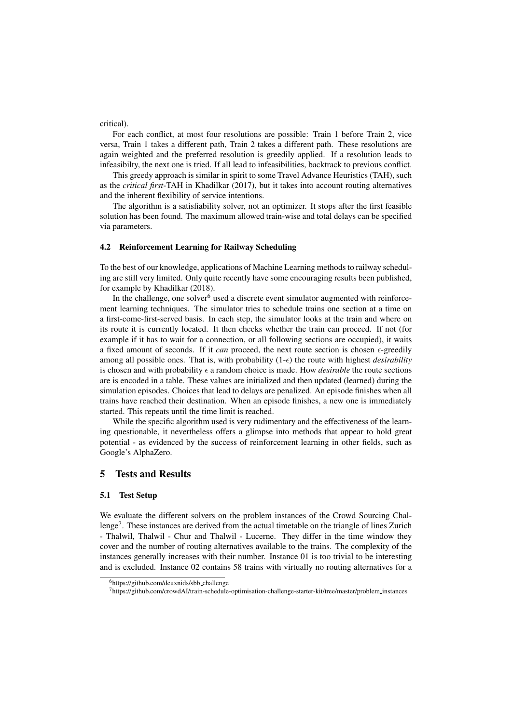critical).

For each conflict, at most four resolutions are possible: Train 1 before Train 2, vice versa, Train 1 takes a different path, Train 2 takes a different path. These resolutions are again weighted and the preferred resolution is greedily applied. If a resolution leads to infeasibilty, the next one is tried. If all lead to infeasibilities, backtrack to previous conflict.

This greedy approach is similar in spirit to some Travel Advance Heuristics (TAH), such as the *critical first*-TAH in Khadilkar (2017), but it takes into account routing alternatives and the inherent flexibility of service intentions.

The algorithm is a satisfiability solver, not an optimizer. It stops after the first feasible solution has been found. The maximum allowed train-wise and total delays can be specified via parameters.

### 4.2 Reinforcement Learning for Railway Scheduling

To the best of our knowledge, applications of Machine Learning methods to railway scheduling are still very limited. Only quite recently have some encouraging results been published, for example by Khadilkar (2018).

In the challenge, one solver $<sup>6</sup>$  used a discrete event simulator augmented with reinforce-</sup> ment learning techniques. The simulator tries to schedule trains one section at a time on a first-come-first-served basis. In each step, the simulator looks at the train and where on its route it is currently located. It then checks whether the train can proceed. If not (for example if it has to wait for a connection, or all following sections are occupied), it waits a fixed amount of seconds. If it *can* proceed, the next route section is chosen  $\epsilon$ -greedily among all possible ones. That is, with probability  $(1-\epsilon)$  the route with highest *desirability* is chosen and with probability  $\epsilon$  a random choice is made. How *desirable* the route sections are is encoded in a table. These values are initialized and then updated (learned) during the simulation episodes. Choices that lead to delays are penalized. An episode finishes when all trains have reached their destination. When an episode finishes, a new one is immediately started. This repeats until the time limit is reached.

While the specific algorithm used is very rudimentary and the effectiveness of the learning questionable, it nevertheless offers a glimpse into methods that appear to hold great potential - as evidenced by the success of reinforcement learning in other fields, such as Google's AlphaZero.

# 5 Tests and Results

# 5.1 Test Setup

We evaluate the different solvers on the problem instances of the Crowd Sourcing Challenge<sup>7</sup>. These instances are derived from the actual timetable on the triangle of lines Zurich - Thalwil, Thalwil - Chur and Thalwil - Lucerne. They differ in the time window they cover and the number of routing alternatives available to the trains. The complexity of the instances generally increases with their number. Instance 01 is too trivial to be interesting and is excluded. Instance 02 contains 58 trains with virtually no routing alternatives for a

<sup>6</sup>https://github.com/deuxnids/sbb challenge

<sup>7</sup>https://github.com/crowdAI/train-schedule-optimisation-challenge-starter-kit/tree/master/problem instances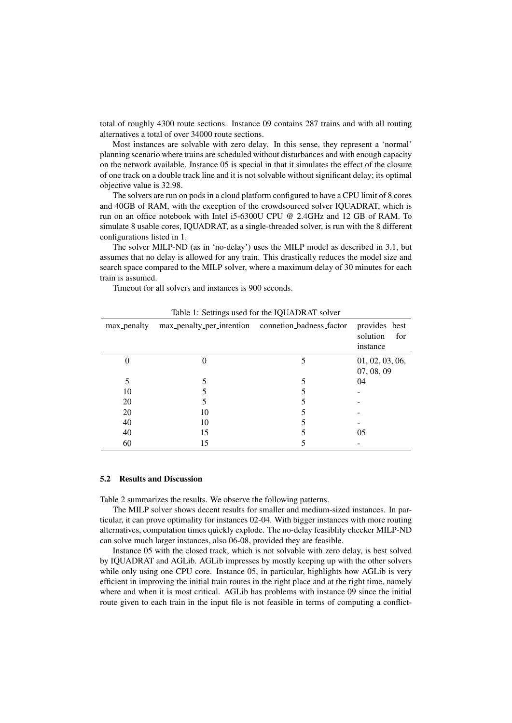total of roughly 4300 route sections. Instance 09 contains 287 trains and with all routing alternatives a total of over 34000 route sections.

Most instances are solvable with zero delay. In this sense, they represent a 'normal' planning scenario where trains are scheduled without disturbances and with enough capacity on the network available. Instance 05 is special in that it simulates the effect of the closure of one track on a double track line and it is not solvable without significant delay; its optimal objective value is 32.98.

The solvers are run on pods in a cloud platform configured to have a CPU limit of 8 cores and 40GB of RAM, with the exception of the crowdsourced solver IQUADRAT, which is run on an office notebook with Intel i5-6300U CPU @ 2.4GHz and 12 GB of RAM. To simulate 8 usable cores, IQUADRAT, as a single-threaded solver, is run with the 8 different configurations listed in 1.

The solver MILP-ND (as in 'no-delay') uses the MILP model as described in 3.1, but assumes that no delay is allowed for any train. This drastically reduces the model size and search space compared to the MILP solver, where a maximum delay of 30 minutes for each train is assumed.

Timeout for all solvers and instances is 900 seconds.

|             |                                                    | ∼ |                                              |
|-------------|----------------------------------------------------|---|----------------------------------------------|
| max_penalty | max_penalty_per_intention connetion_badness_factor |   | provides best<br>solution<br>for<br>instance |
| 0           |                                                    |   | 01, 02, 03, 06,<br>07, 08, 09                |
| 5           |                                                    |   | 04                                           |
| 10          |                                                    |   |                                              |
| 20          |                                                    |   |                                              |
| 20          | 10                                                 |   |                                              |
| 40          | 10                                                 |   |                                              |
| 40          | 15                                                 |   | 05                                           |
| 60          |                                                    |   |                                              |

Table 1: Settings used for the IQUADRAT solver

#### 5.2 Results and Discussion

Table 2 summarizes the results. We observe the following patterns.

The MILP solver shows decent results for smaller and medium-sized instances. In particular, it can prove optimality for instances 02-04. With bigger instances with more routing alternatives, computation times quickly explode. The no-delay feasiblity checker MILP-ND can solve much larger instances, also 06-08, provided they are feasible.

Instance 05 with the closed track, which is not solvable with zero delay, is best solved by IQUADRAT and AGLib. AGLib impresses by mostly keeping up with the other solvers while only using one CPU core. Instance 05, in particular, highlights how AGLib is very efficient in improving the initial train routes in the right place and at the right time, namely where and when it is most critical. AGLib has problems with instance 09 since the initial route given to each train in the input file is not feasible in terms of computing a conflict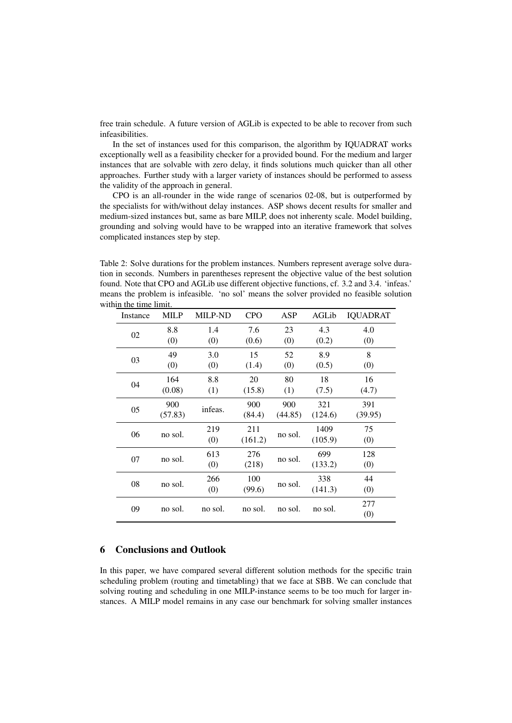free train schedule. A future version of AGLib is expected to be able to recover from such infeasibilities.

In the set of instances used for this comparison, the algorithm by IQUADRAT works exceptionally well as a feasibility checker for a provided bound. For the medium and larger instances that are solvable with zero delay, it finds solutions much quicker than all other approaches. Further study with a larger variety of instances should be performed to assess the validity of the approach in general.

CPO is an all-rounder in the wide range of scenarios 02-08, but is outperformed by the specialists for with/without delay instances. ASP shows decent results for smaller and medium-sized instances but, same as bare MILP, does not inherenty scale. Model building, grounding and solving would have to be wrapped into an iterative framework that solves complicated instances step by step.

Table 2: Solve durations for the problem instances. Numbers represent average solve duration in seconds. Numbers in parentheses represent the objective value of the best solution found. Note that CPO and AGLib use different objective functions, cf. 3.2 and 3.4. 'infeas.' means the problem is infeasible. 'no sol' means the solver provided no feasible solution within the time limit.

| Instance | <b>MILP</b>    | <b>MILP-ND</b> | <b>CPO</b>     | ASP            | AGLib           | <b>IQUADRAT</b> |
|----------|----------------|----------------|----------------|----------------|-----------------|-----------------|
| 02       | 8.8<br>(0)     | 1.4<br>(0)     | 7.6<br>(0.6)   | 23<br>(0)      | 4.3<br>(0.2)    | 4.0<br>(0)      |
| 03       | 49<br>(0)      | 3.0<br>(0)     | 15<br>(1.4)    | 52<br>(0)      | 8.9<br>(0.5)    | 8<br>(0)        |
| 04       | 164<br>(0.08)  | 8.8<br>(1)     | 20<br>(15.8)   | 80<br>(1)      | 18<br>(7.5)     | 16<br>(4.7)     |
| 05       | 900<br>(57.83) | infeas.        | 900<br>(84.4)  | 900<br>(44.85) | 321<br>(124.6)  | 391<br>(39.95)  |
| 06       | no sol.        | 219<br>(0)     | 211<br>(161.2) | no sol.        | 1409<br>(105.9) | 75<br>(0)       |
| 07       | no sol.        | 613<br>(0)     | 276<br>(218)   | no sol.        | 699<br>(133.2)  | 128<br>(0)      |
| 08       | no sol.        | 266<br>(0)     | 100<br>(99.6)  | no sol.        | 338<br>(141.3)  | 44<br>(0)       |
| 09       | no sol.        | no sol.        | no sol.        | no sol.        | no sol.         | 277<br>(0)      |

# 6 Conclusions and Outlook

In this paper, we have compared several different solution methods for the specific train scheduling problem (routing and timetabling) that we face at SBB. We can conclude that solving routing and scheduling in one MILP-instance seems to be too much for larger instances. A MILP model remains in any case our benchmark for solving smaller instances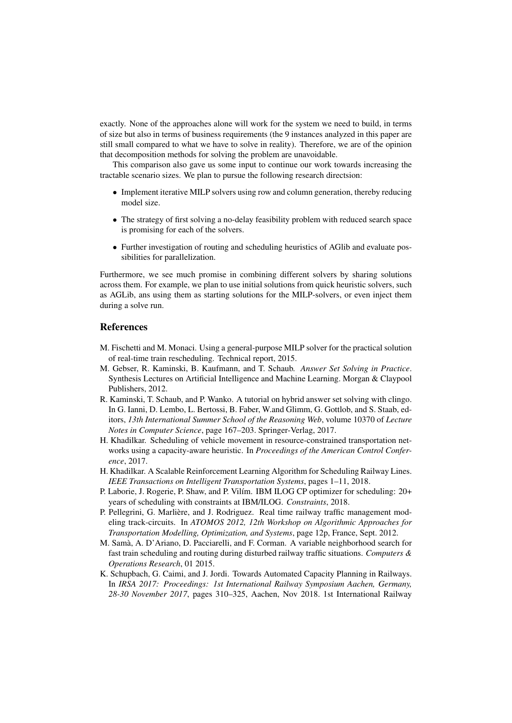exactly. None of the approaches alone will work for the system we need to build, in terms of size but also in terms of business requirements (the 9 instances analyzed in this paper are still small compared to what we have to solve in reality). Therefore, we are of the opinion that decomposition methods for solving the problem are unavoidable.

This comparison also gave us some input to continue our work towards increasing the tractable scenario sizes. We plan to pursue the following research directsion:

- Implement iterative MILP solvers using row and column generation, thereby reducing model size.
- The strategy of first solving a no-delay feasibility problem with reduced search space is promising for each of the solvers.
- Further investigation of routing and scheduling heuristics of AGlib and evaluate possibilities for parallelization.

Furthermore, we see much promise in combining different solvers by sharing solutions across them. For example, we plan to use initial solutions from quick heuristic solvers, such as AGLib, ans using them as starting solutions for the MILP-solvers, or even inject them during a solve run.

# References

- M. Fischetti and M. Monaci. Using a general-purpose MILP solver for the practical solution of real-time train rescheduling. Technical report, 2015.
- M. Gebser, R. Kaminski, B. Kaufmann, and T. Schaub. *Answer Set Solving in Practice*. Synthesis Lectures on Artificial Intelligence and Machine Learning. Morgan & Claypool Publishers, 2012.
- R. Kaminski, T. Schaub, and P. Wanko. A tutorial on hybrid answer set solving with clingo. In G. Ianni, D. Lembo, L. Bertossi, B. Faber, W.and Glimm, G. Gottlob, and S. Staab, editors, *13th International Summer School of the Reasoning Web*, volume 10370 of *Lecture Notes in Computer Science*, page 167–203. Springer-Verlag, 2017.
- H. Khadilkar. Scheduling of vehicle movement in resource-constrained transportation networks using a capacity-aware heuristic. In *Proceedings of the American Control Conference*, 2017.
- H. Khadilkar. A Scalable Reinforcement Learning Algorithm for Scheduling Railway Lines. *IEEE Transactions on Intelligent Transportation Systems*, pages 1–11, 2018.
- P. Laborie, J. Rogerie, P. Shaw, and P. Vilím. IBM ILOG CP optimizer for scheduling: 20+ years of scheduling with constraints at IBM/ILOG. *Constraints*, 2018.
- P. Pellegrini, G. Marliere, and J. Rodriguez. Real time railway traffic management mod- ` eling track-circuits. In *ATOMOS 2012, 12th Workshop on Algorithmic Approaches for Transportation Modelling, Optimization, and Systems*, page 12p, France, Sept. 2012.
- M. Sama, A. D'Ariano, D. Pacciarelli, and F. Corman. A variable neighborhood search for ` fast train scheduling and routing during disturbed railway traffic situations. *Computers & Operations Research*, 01 2015.
- K. Schupbach, G. Caimi, and J. Jordi. Towards Automated Capacity Planning in Railways. In *IRSA 2017: Proceedings: 1st International Railway Symposium Aachen, Germany, 28-30 November 2017*, pages 310–325, Aachen, Nov 2018. 1st International Railway